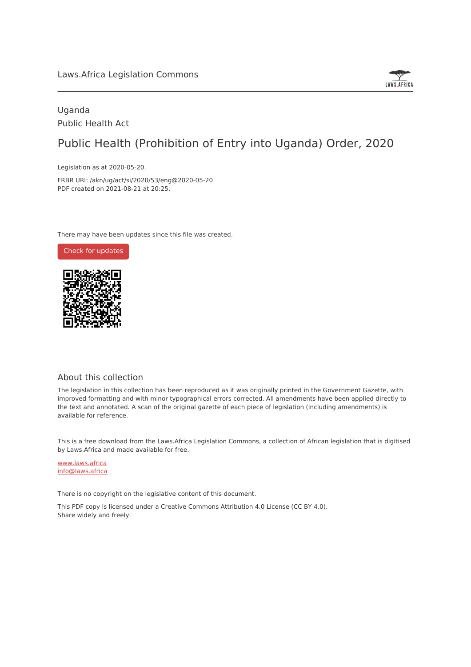

### Uganda Public Health Act

# Public Health (Prohibition of Entry into Uganda) Order, 2020

Legislation as at 2020-05-20.

FRBR URI: /akn/ug/act/si/2020/53/eng@2020-05-20 PDF created on 2021-08-21 at 20:25.

There may have been updates since this file was created.

Check for [updates](https://commons.laws.africa/akn/ug/act/si/2020/53/eng@2020-05-20?ts=2021-08-21T20:25:19.139829+00:00)



#### About this collection

The legislation in this collection has been reproduced as it was originally printed in the Government Gazette, with improved formatting and with minor typographical errors corrected. All amendments have been applied directly to the text and annotated. A scan of the original gazette of each piece of legislation (including amendments) is available for reference.

This is a free download from the Laws.Africa Legislation Commons, a collection of African legislation that is digitised by Laws.Africa and made available for free.

[www.laws.africa](https://www.laws.africa) [info@laws.africa](mailto:info@laws.africa)

There is no copyright on the legislative content of this document.

This PDF copy is licensed under a Creative Commons Attribution 4.0 License (CC BY 4.0). Share widely and freely.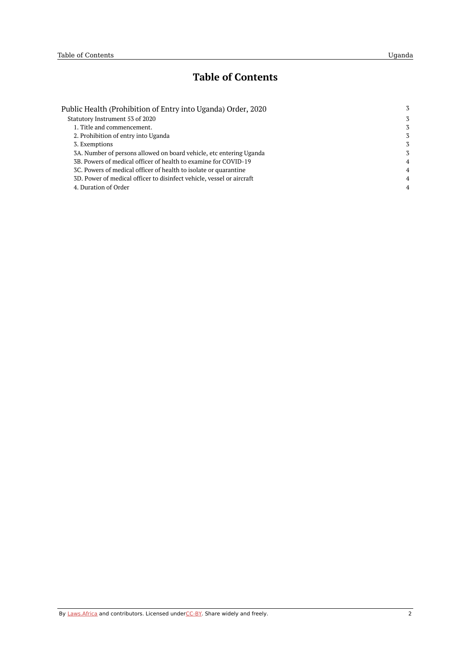## **Table of Contents**

| Public Health (Prohibition of Entry into Uganda) Order, 2020          | 3              |
|-----------------------------------------------------------------------|----------------|
| Statutory Instrument 53 of 2020                                       | 3              |
| 1. Title and commencement.                                            | 3              |
| 2. Prohibition of entry into Uganda                                   | 3              |
| 3. Exemptions                                                         | 3              |
| 3A. Number of persons allowed on board vehicle, etc entering Uganda   | 3              |
| 3B. Powers of medical officer of health to examine for COVID-19       | $\overline{4}$ |
| 3C. Powers of medical officer of health to isolate or quarantine      | $\overline{4}$ |
| 3D. Power of medical officer to disinfect vehicle, vessel or aircraft | $\overline{4}$ |
| 4. Duration of Order                                                  | $\overline{4}$ |
|                                                                       |                |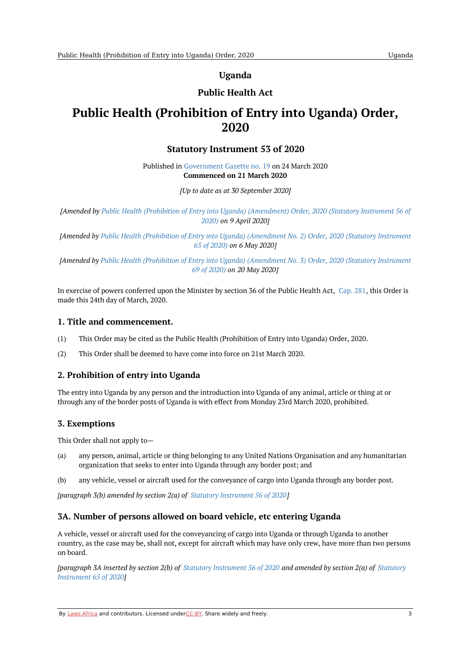**Uganda**

### **Public Health Act**

## <span id="page-2-1"></span><span id="page-2-0"></span>**Public Health (Prohibition of Entry into Uganda) Order, 2020**

#### **Statutory Instrument 53 of 2020**

Published in [Government](https://commons.laws.africa/akn/ug/act/si/2020/53/media/publication/ug-act-si-2020-53-publication-document.pdf) Gazette no. 19 on 24 March 2020 **Commenced on 21 March 2020**

*[Up to date as at 30 September 2020]*

*[Amended by Public Health (Prohibition of Entry into Uganda) [\(Amendment\)](https://africanlii.org/akn/ug/act/si/2020/56) Order, 2020 (Statutory Instrument 56 of 2020) on 9 April 2020]*

*[Amended by Public Health (Prohibition of Entry into Uganda) [\(Amendment](https://africanlii.org/akn/ug/act/si/2020/65) No. 2) Order, 2020 (Statutory Instrument 65 of 2020) on 6 May 2020]*

*[Amended by Public Health (Prohibition of Entry into Uganda) [\(Amendment](https://africanlii.org/akn/ug/act/si/2020/69) No. 3) Order, 2020 (Statutory Instrument 69 of 2020) on 20 May 2020]*

In exercise of powers conferred upon the Minister by section 36 of the Public Health Act, [Cap.](https://africanlii.org/akn/ug/act/ord/1935/13) 281, this Order is made this 24th day of March, 2020.

#### <span id="page-2-2"></span>**1. Title and commencement.**

- (1) This Order may be cited as the Public Health (Prohibition of Entry into Uganda) Order, 2020.
- (2) This Order shall be deemed to have come into force on 21st March 2020.

#### <span id="page-2-3"></span>**2. Prohibition of entry into Uganda**

The entry into Uganda by any person and the introduction into Uganda of any animal, article or thing at or through any of the border posts of Uganda is with effect from Monday 23rd March 2020, prohibited.

#### <span id="page-2-4"></span>**3. Exemptions**

This Order shall not apply to—

- (a) any person, animal, article or thing belonging to any United Nations Organisation and any humanitarian organization that seeks to enter into Uganda through any border post; and
- $(h)$ any vehicle, vessel or aircraft used for the conveyance of cargo into Uganda through any border post.

*[paragraph 3(b) amended by section 2(a) of Statutory [Instrument](https://africanlii.org/akn/ug/act/si/2020/56) 56 of 2020]*

#### <span id="page-2-5"></span>**3A. Number of persons allowed on board vehicle, etc entering Uganda**

A vehicle, vessel or aircraft used for the conveyancing of cargo into Uganda or through Uganda to another country, as the case may be, shall not, except for aircraft which may have only crew, have more than two persons on board.

[\[paragraph](https://africanlii.org/akn/ug/act/si/2020/65) 3A inserted by section 2(b) of Statutory [Instrument](https://africanlii.org/akn/ug/act/si/2020/56) 56 of 2020 and amended by section 2(a) of Statutory *Instrument 65 of 2020]*

By [Laws.Africa](https://edit.laws.africa/widgets/pdf-attribution) and contributors. Licensed und[erCC-B](https://edit.laws.africa/widgets/pdf-cc-by)Y. Share widely and freely. 3